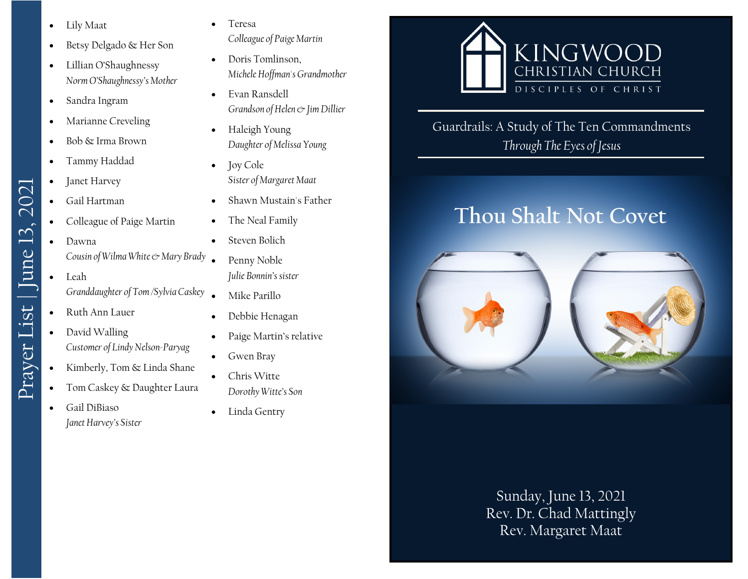- Lily Maat
- Betsy Delgado & Her Son
- Lillian O'Shaughnessy *Norm O'Shaughnessy's Mother*
- Sandra Ingram
- Marianne Creveling
- Bob & Irma Brown
- Tammy Haddad
- Janet Harvey
- Gail Hartman
- Colleague of Paige Martin
- Dawna *Cousin of Wilma White & Mary Brady*
- Leah *Granddaughter of Tom /Sylvia Caskey*
- Ruth Ann Lauer

Prayer List | June 13, 2021

Prayer List | June 13, 2021

- David Walling *Customer of Lindy Nelson-Paryag*
- Kimberly, Tom & Linda Shane
- Tom Caskey & Daughter Laura
- Gail DiBiaso *Janet Harvey's Sister*

**Teresa** 

*Colleague of Paige Martin*

- Doris Tomlinson, *Michele Hoffman's Grandmother*
- Evan Ransdell *Grandson of Helen & Jim Dillier*
- Haleigh Young *Daughter of Melissa Young*
- Joy Cole *Sister of Margaret Maat*
- Shawn Mustain's Father
- The Neal Family
- Steven Bolich
- Penny Noble *Julie Bonnin's sister*
- Mike Parillo
- Debbie Henagan
- Paige Martin's relative
- Gwen Bray
- Chris Witte
	- *Dorothy Witte's Son*
- Linda Gentry



Guardrails: A Study of The Ten Commandments *Through The Eyes of Jesus*

# **Thou Shalt Not Covet**



Sunday, June 13, 2021 Rev. Dr. Chad Mattingly Rev. Margaret Maat